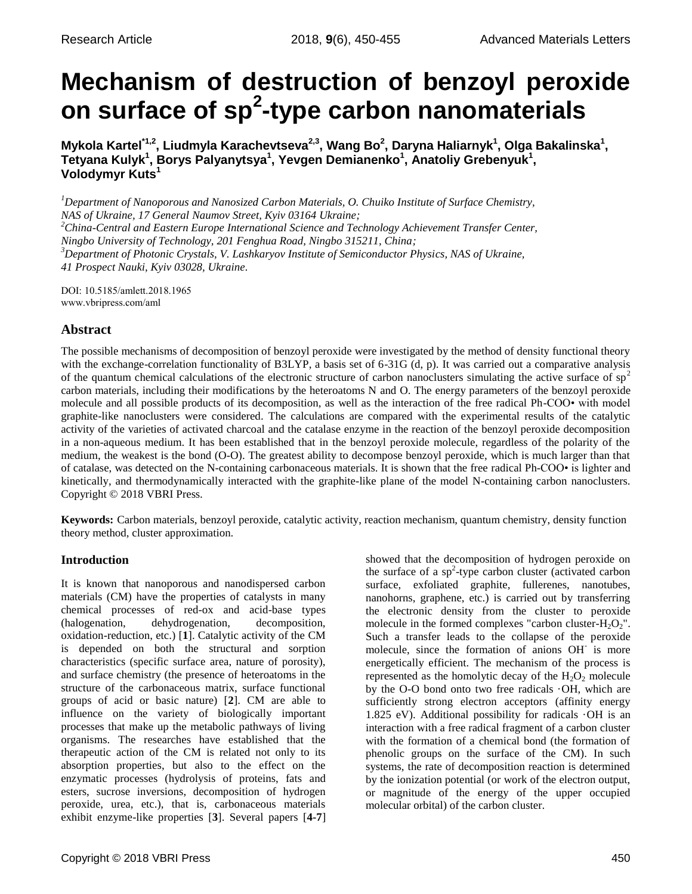# **Mechanism of destruction of benzoyl peroxide on surface of sp<sup>2</sup> -type carbon nanomaterials**

**Mykola Kartel\*1,2, Liudmyla Karachevtseva2,3, Wang Bo<sup>2</sup> , Daryna Haliarnyk<sup>1</sup> , Olga Bakalinska<sup>1</sup> ,**  Tetyana Kulyk<sup>1</sup>, Borys Palyanytsya<sup>1</sup>, Yevgen Demianenko<sup>1</sup>, Anatoliy Grebenyuk<sup>1</sup>, **Volodymyr Kuts<sup>1</sup>**

*<sup>1</sup>Department of Nanoporous and Nanosized Carbon Materials, O. Chuiko Institute of Surface Chemistry, NAS of Ukraine, 17 General Naumov Street, Kyiv 03164 Ukraine;*

*<sup>2</sup>China-Central and Eastern Europe International Science and Technology Achievement Transfer Center,* 

*Ningbo University of Technology, 201 Fenghua Road, Ningbo 315211, China;*

*<sup>3</sup>Department of Photonic Crystals, V. Lashkaryov Institute of Semiconductor Physics, NAS of Ukraine, 41 Prospect Nauki, Kyiv 03028, Ukraine.*

DOI: 10.5185/amlett.2018.1965 www.vbripress.com/aml

# **Abstract**

The possible mechanisms of decomposition of benzoyl peroxide were investigated by the method of density functional theory with the exchange-correlation functionality of B3LYP, a basis set of 6-31G (d, p). It was carried out a comparative analysis of the quantum chemical calculations of the electronic structure of carbon nanoclusters simulating the active surface of  $sp<sup>2</sup>$ carbon materials, including their modifications by the heteroatoms N and O. The energy parameters of the benzoyl peroxide molecule and all possible products of its decomposition, as well as the interaction of the free radical Ph-СОО• with model graphite-like nanoclusters were considered. The calculations are compared with the experimental results of the catalytic activity of the varieties of activated charcoal and the catalase enzyme in the reaction of the benzoyl peroxide decomposition in a non-aqueous medium. It has been established that in the benzoyl peroxide molecule, regardless of the polarity of the medium, the weakest is the bond (O-O). The greatest ability to decompose benzoyl peroxide, which is much larger than that of catalase, was detected on the N-containing carbonaceous materials. It is shown that the free radical Ph-COO• is lighter and kinetically, and thermodynamically interacted with the graphite-like plane of the model N-containing carbon nanoclusters. Copyright © 2018 VBRI Press.

**Keywords:** Carbon materials, benzoyl peroxide, catalytic activity, reaction mechanism, quantum chemistry, density function theory method, cluster approximation.

# **Introduction**

It is known that nanoporous and nanodispersed carbon materials (CM) have the properties of catalysts in many chemical processes of red-ox and acid-base types (halogenation, dehydrogenation, decomposition, oxidation-reduction, etc.) [**1**]. Catalytic activity of the CM is depended on both the structural and sorption characteristics (specific surface area, nature of porosity), and surface chemistry (the presence of heteroatoms in the structure of the carbonaceous matrix, surface functional groups of acid or basic nature) [**2**]. CM are able to influence on the variety of biologically important processes that make up the metabolic pathways of living organisms. The researches have established that the therapeutic action of the CM is related not only to its absorption properties, but also to the effect on the enzymatic processes (hydrolysis of proteins, fats and esters, sucrose inversions, decomposition of hydrogen peroxide, urea, etc.), that is, carbonaceous materials exhibit enzyme-like properties [**3**]. Several papers [**4-7**]

showed that the decomposition of hydrogen peroxide on the surface of a  $sp^2$ -type carbon cluster (activated carbon surface, exfoliated graphite, fullerenes, nanotubes, nanohorns, graphene, etc.) is carried out by transferring the electronic density from the cluster to peroxide molecule in the formed complexes "carbon cluster- $H_2O_2$ ". Such a transfer leads to the collapse of the peroxide molecule, since the formation of anions OH-is more energetically efficient. The mechanism of the process is represented as the homolytic decay of the  $H_2O_2$  molecule by the O-O bond onto two free radicals ·OH, which are sufficiently strong electron acceptors (affinity energy 1.825 eV). Additional possibility for radicals ·OH is an interaction with a free radical fragment of a carbon cluster with the formation of a chemical bond (the formation of phenolic groups on the surface of the CM). In such systems, the rate of decomposition reaction is determined by the ionization potential (or work of the electron output, or magnitude of the energy of the upper occupied molecular orbital) of the carbon cluster.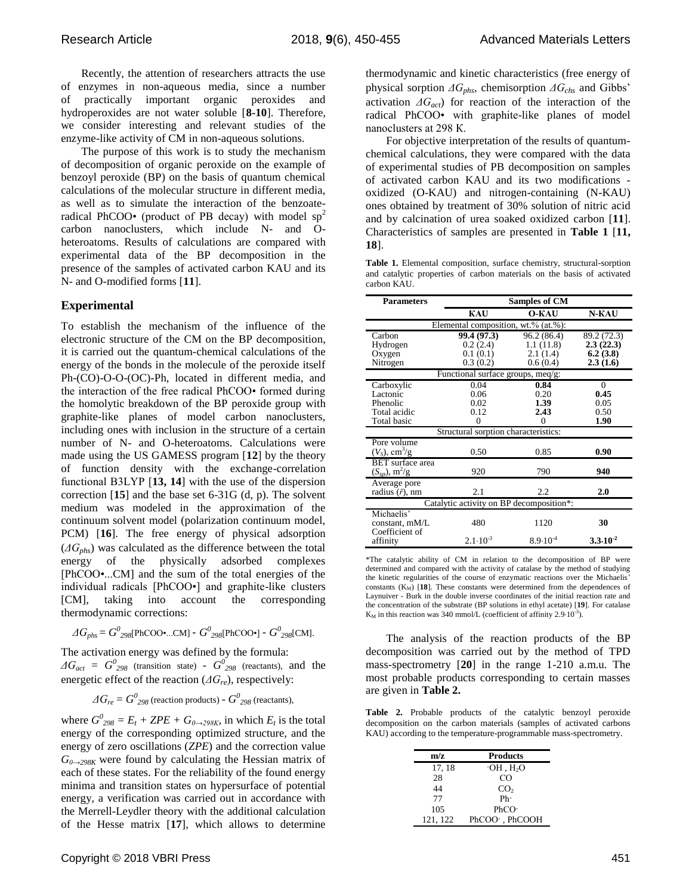Recently, the attention of researchers attracts the use of enzymes in non-aqueous media, since a number of practically important organic peroxides and hydroperoxides are not water soluble [**8-10**]. Therefore, we consider interesting and relevant studies of the enzyme-like activity of CM in non-aqueous solutions.

The purpose of this work is to study the mechanism of decomposition of organic peroxide on the example of benzoyl peroxide (BP) on the basis of quantum chemical calculations of the molecular structure in different media, as well as to simulate the interaction of the benzoateradical PhCOO• (product of PB decay) with model  $sp^2$ carbon nanoclusters, which include N- and Oheteroatoms. Results of calculations are compared with experimental data of the BP decomposition in the presence of the samples of activated carbon KAU and its N- and O-modified forms [**11**].

#### **Experimental**

To establish the mechanism of the influence of the electronic structure of the CM on the BP decomposition, it is carried out the quantum-chemical calculations of the energy of the bonds in the molecule of the peroxide itself Ph-(CO)-O-O-(OC)-Ph, located in different media, and the interaction of the free radical PhCOO• formed during the homolytic breakdown of the BP peroxide group with graphite-like planes of model carbon nanoclusters, including ones with inclusion in the structure of a certain number of N- and O-heteroatoms. Calculations were made using the US GAMESS program [**12**] by the theory of function density with the exchange-correlation functional В3LYP [**13, 14**] with the use of the dispersion correction [**15**] and the base set 6-31G (d, p). The solvent medium was modeled in the approximation of the continuum solvent model (polarization continuum model, PCM) [**16**]. The free energy of physical adsorption (*ΔGphs*) was calculated as the difference between the total energy of the physically adsorbed complexes [PhCOO•...CM] and the sum of the total energies of the individual radicals [PhCOO•] and graphite-like clusters [CM], taking into account the corresponding thermodynamic corrections:

$$
\Delta G_{phs} = G^0_{298} [\text{PhCOO} \cdot \dots \text{CM}] - G^0_{298} [\text{PhCOO} \cdot ] - G^0_{298} [\text{CM}].
$$

The activation energy was defined by the formula:

 $\Delta G_{act} = G_{298}^0$  (transition state) -  $G_{298}^0$  (reactants), and the energetic effect of the reaction (*ΔGre*), respectively:

$$
\Delta G_{re} = G_{298}^{0}
$$
 (reaction products) -  $G_{298}^{0}$  (reactants),

where  $G^0_{298} = E_t + ZPE + G_{0\rightarrow 298K}$ , in which  $E_t$  is the total energy of the corresponding optimized structure, and the energy of zero oscillations (*ZPE*) and the correction value *G*<sub>0→298K</sub> were found by calculating the Hessian matrix of each of these states. For the reliability of the found energy minima and transition states on hypersurface of potential energy, a verification was carried out in accordance with the Merrell-Leydler theory with the additional calculation of the Hesse matrix [**17**], which allows to determine

thermodynamic and kinetic characteristics (free energy of physical sorption *ΔGphs*, chemisorption *ΔGchs* and Gibbs' activation *ΔGact*) for reaction of the interaction of the radical PhCOO• with graphite-like planes of model nanoclusters at 298 К.

For objective interpretation of the results of quantumchemical calculations, they were compared with the data of experimental studies of PB decomposition on samples of activated carbon KAU and its two modifications oxidized (O-KAU) and nitrogen-containing (N-KAU) ones obtained by treatment of 30% solution of nitric acid and by calcination of urea soaked oxidized carbon [**11**]. Characteristics of samples are presented in **Table 1** [**11, 18**].

**Table 1.** Elemental composition, surface chemistry, structural-sorption and catalytic properties of carbon materials on the basis of activated carbon KAU.

| <b>Parameters</b>                        | <b>Samples of CM</b>                 |                          |                     |  |  |  |  |
|------------------------------------------|--------------------------------------|--------------------------|---------------------|--|--|--|--|
|                                          | <b>KAU</b><br><b>O-KAU</b>           |                          | N-KAU               |  |  |  |  |
| Elemental composition, wt.% (at.%):      |                                      |                          |                     |  |  |  |  |
| Carbon                                   | 99.4 (97.3)                          | $\overline{96.2}$ (86.4) | 89.2 (72.3)         |  |  |  |  |
| Hydrogen                                 | 0.2(2.4)                             | 1.1(11.8)                | 2.3(22.3)           |  |  |  |  |
| Oxygen                                   | 0.1(0.1)                             | 2.1(1.4)                 | 6.2(3.8)            |  |  |  |  |
| Nitrogen                                 | 0.3(0.2)                             | 0.6(0.4)                 | 2.3(1.6)            |  |  |  |  |
|                                          | Functional surface groups, meq/g:    |                          |                     |  |  |  |  |
| Carboxylic                               | 0.04                                 | 0.84                     | $\theta$            |  |  |  |  |
| Lactonic                                 | 0.06                                 | 0.20                     | 0.45                |  |  |  |  |
| Phenolic                                 | 0.02                                 | 1.39                     | 0.05                |  |  |  |  |
| Total acidic                             | 0.12                                 | 2.43                     | 0.50                |  |  |  |  |
| Total basic                              | $\Omega$                             | 0                        | 1.90                |  |  |  |  |
|                                          | Structural sorption characteristics: |                          |                     |  |  |  |  |
| Pore volume                              |                                      |                          |                     |  |  |  |  |
| $(VS)$ , cm <sup>3</sup> /g              | 0.50                                 | 0.85                     | 0.90                |  |  |  |  |
| <b>BET</b> surface area                  |                                      |                          |                     |  |  |  |  |
| $(S_{sp})$ , m <sup>2</sup> /g           | 920                                  | 790                      | 940                 |  |  |  |  |
| Average pore                             |                                      |                          |                     |  |  |  |  |
| radius (ř), nm                           | 2.1                                  | 2.2                      | 2.0                 |  |  |  |  |
| Catalytic activity on BP decomposition*: |                                      |                          |                     |  |  |  |  |
| Michaelis'                               |                                      |                          |                     |  |  |  |  |
| constant, mM/L                           | 480                                  | 1120                     | 30                  |  |  |  |  |
| Coefficient of                           |                                      |                          |                     |  |  |  |  |
| affinity                                 | $2.1 \cdot 10^{-3}$                  | $8.9 \cdot 10^{-4}$      | $3.3 \cdot 10^{-2}$ |  |  |  |  |

\*The catalytic ability of CM in relation to the decomposition of BP were determined and compared with the activity of catalase by the method of studying the kinetic regularities of the course of enzymatic reactions over the Michaelis' constants (K<sub>M</sub>) [18]. These constants were determined from the dependences of Laynuiver - Burk in the double inverse coordinates of the initial reaction rate and the concentration of the substrate (BP solutions in ethyl acetate) [**19**]. For catalase  $K_M$  in this reaction was 340 mmol/L (coefficient of affinity 2.9·10<sup>-3</sup>).

The analysis of the reaction products of the BP decomposition was carried out by the method of TPD mass-spectrometry [**20**] in the range 1-210 a.m.u. The most probable products corresponding to certain masses are given in **Table 2.**

**Table 2.** Probable products of the catalytic benzoyl peroxide decomposition on the carbon materials (samples of activated carbons KAU) according to the temperature-programmable mass-spectrometry.

| m/z      | <b>Products</b>   |
|----------|-------------------|
| 17, 18   | $OH$ , $H2O$      |
| 28       | CO                |
| 44       | CO <sub>2</sub>   |
| 77       | Ph                |
| 105      | PhCO <sup>2</sup> |
| 121, 122 | PhCOO , PhCOOH    |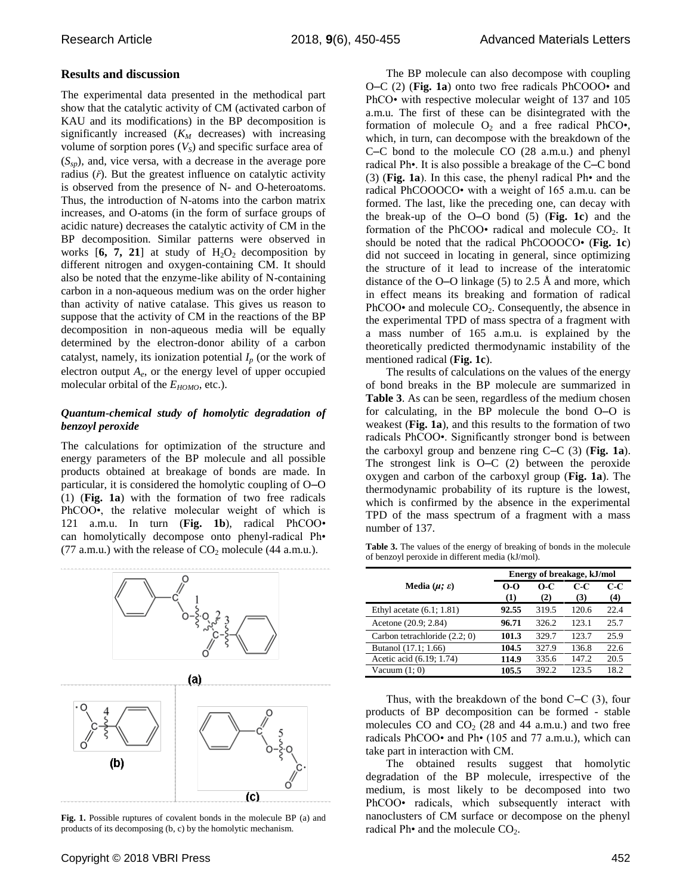## **Results and discussion**

The experimental data presented in the methodical part show that the catalytic activity of CM (activated carbon of KAU and its modifications) in the BP decomposition is significantly increased (*K<sup>M</sup>* decreases) with increasing volume of sorption pores (*VS*) and specific surface area of (*Ssp*), and, vice versa, with a decrease in the average pore radius (*ř*). But the greatest influence on catalytic activity is observed from the presence of N- and O-heteroatoms. Thus, the introduction of N-atoms into the carbon matrix increases, and O-atoms (in the form of surface groups of acidic nature) decreases the catalytic activity of CM in the BP decomposition. Similar patterns were observed in works  $[6, 7, 21]$  at study of  $H_2O_2$  decomposition by different nitrogen and oxygen-containing CM. It should also be noted that the enzyme-like ability of N-containing carbon in a non-aqueous medium was on the order higher than activity of native catalase. This gives us reason to suppose that the activity of CM in the reactions of the BP decomposition in non-aqueous media will be equally determined by the electron-donor ability of a carbon catalyst, namely, its ionization potential  $I_p$  (or the work of electron output *A<sup>e</sup>* , or the energy level of upper occupied molecular orbital of the  $E_{HOMO}$ , etc.).

## *Quantum-chemical study of homolytic degradation of benzoyl peroxide*

The calculations for optimization of the structure and energy parameters of the BP molecule and all possible products obtained at breakage of bonds are made. In particular, it is considered the homolytic coupling of O–O (1) (**Fig. 1a**) with the formation of two free radicals PhCOO•, the relative molecular weight of which is 121 a.m.u. In turn (**Fig. 1b**), radical PhCOO• can homolytically decompose onto phenyl-radical Ph• (77 a.m.u.) with the release of  $CO_2$  molecule (44 a.m.u.).



**Fig. 1.** Possible ruptures of covalent bonds in the molecule BP (a) and products of its decomposing (b, c) by the homolytic mechanism.

The BP molecule can also decompose with coupling O–C (2) (**Fig. 1a**) onto two free radicals PhCOOO• and PhCO• with respective molecular weight of 137 and 105 a.m.u. The first of these can be disintegrated with the formation of molecule  $O_2$  and a free radical PhCO $\bullet$ , which, in turn, can decompose with the breakdown of the C–C bond to the molecule CO (28 a.m.u.) and phenyl radical Ph•. It is also possible a breakage of the C–C bond (3) (**Fig. 1a**). In this case, the phenyl radical Ph• and the radical PhCOOOCO• with a weight of 165 a.m.u. can be formed. The last, like the preceding one, can decay with the break-up of the O–O bond (5) (**Fig. 1c**) and the formation of the PhCOO $\cdot$  radical and molecule CO<sub>2</sub>. It should be noted that the radical PhCOOOCO• (**Fig. 1c**) did not succeed in locating in general, since optimizing the structure of it lead to increase of the interatomic distance of the O–O linkage (5) to 2.5 Å and more, which in effect means its breaking and formation of radical PhCOO $\cdot$  and molecule CO<sub>2</sub>. Consequently, the absence in the experimental TPD of mass spectra of a fragment with a mass number of 165 a.m.u. is explained by the theoretically predicted thermodynamic instability of the mentioned radical (**Fig. 1c**).

The results of calculations on the values of the energy of bond breaks in the BP molecule are summarized in **Table 3**. As can be seen, regardless of the medium chosen for calculating, in the BP molecule the bond O–O is weakest (**Fig. 1a**), and this results to the formation of two radicals PhCOO•. Significantly stronger bond is between the carboxyl group and benzene ring C–C (3) (**Fig. 1a**). The strongest link is O–C (2) between the peroxide oxygen and carbon of the carboxyl group (**Fig. 1a**). The thermodynamic probability of its rupture is the lowest, which is confirmed by the absence in the experimental TPD of the mass spectrum of a fragment with a mass number of 137.

**Table 3.** The values of the energy of breaking of bonds in the molecule of benzoyl peroxide in different media (kJ/mol).

|                               | Energy of breakage, kJ/mol |              |              |            |
|-------------------------------|----------------------------|--------------|--------------|------------|
| Media $(\mu; \varepsilon)$    | $0-0$<br>(1)               | $O-C$<br>(2) | $C-C$<br>(3) | C-C<br>(4) |
| Ethyl acetate $(6.1; 1.81)$   | 92.55                      | 319.5        | 120.6        | 22.4       |
| Acetone (20.9; 2.84)          | 96.71                      | 326.2        | 123.1        | 25.7       |
| Carbon tetrachloride (2.2; 0) | 101.3                      | 329.7        | 123.7        | 25.9       |
| Butanol (17.1; 1.66)          | 104.5                      | 327.9        | 136.8        | 22.6       |
| Acetic acid (6.19; 1.74)      | 114.9                      | 335.6        | 147.2        | 20.5       |
| Vacuum $(1; 0)$               | 105.5                      | 392.2        | 123.5        | 18.2       |

Thus, with the breakdown of the bond С–С (3), four products of BP decomposition can be formed - stable molecules CO and  $CO<sub>2</sub>$  (28 and 44 a.m.u.) and two free radicals PhCOO• and Ph• (105 and 77 a.m.u.), which can take part in interaction with CM.

The obtained results suggest that homolytic degradation of the BP molecule, irrespective of the medium, is most likely to be decomposed into two PhCOO• radicals, which subsequently interact with nanoclusters of CM surface or decompose on the phenyl radical Ph $\bullet$  and the molecule  $CO<sub>2</sub>$ .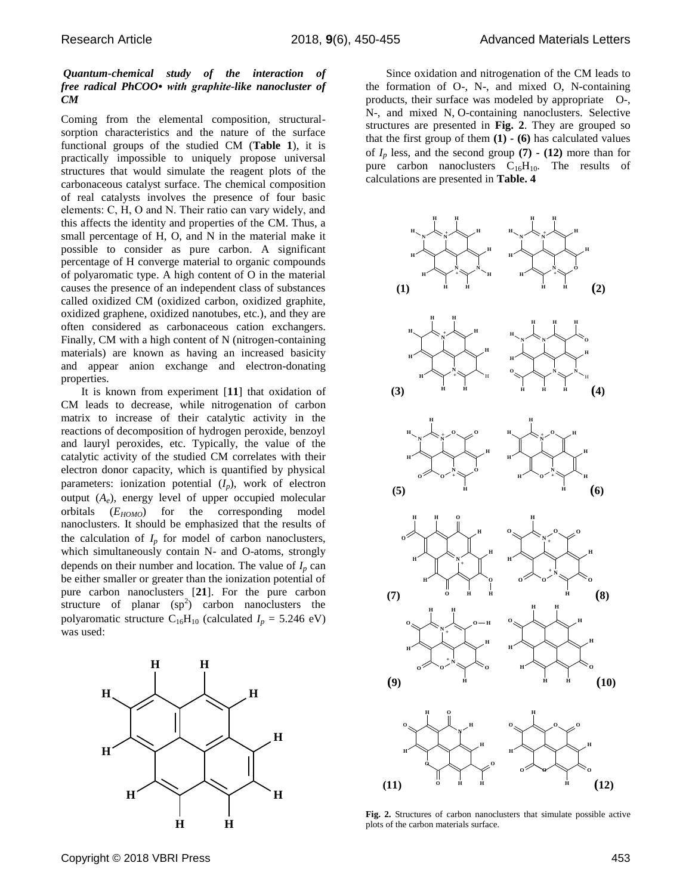### *Quantum-chemical study of the interaction of free radical PhCOO• with graphite-like nanocluster of CM*

Coming from the elemental composition, structuralsorption characteristics and the nature of the surface functional groups of the studied CM (**Table 1**), it is practically impossible to uniquely propose universal structures that would simulate the reagent plots of the carbonaceous catalyst surface. The chemical composition of real catalysts involves the presence of four basic elements: С, Н, О and N. Their ratio can vary widely, and this affects the identity and properties of the CM. Thus, a small percentage of H, O, and N in the material make it possible to consider as pure carbon. A significant percentage of H converge material to organic compounds of polyaromatic type. A high content of O in the material causes the presence of an independent class of substances called oxidized CM (oxidized carbon, oxidized graphite, oxidized graphene, oxidized nanotubes, etc.), and they are often considered as carbonaceous cation exchangers. Finally, CM with a high content of N (nitrogen-containing materials) are known as having an increased basicity and appear anion exchange and electron-donating properties.

It is known from experiment [**11**] that oxidation of CM leads to decrease, while nitrogenation of carbon matrix to increase of their catalytic activity in the reactions of decomposition of hydrogen peroxide, benzoyl and lauryl peroxides, etc. Typically, the value of the catalytic activity of the studied CM correlates with their electron donor capacity, which is quantified by physical parameters: ionization potential  $(I_p)$ , work of electron output  $(A_e)$ , energy level of upper occupied molecular orbitals (*EHOMO*) for the corresponding model nanoclusters. It should be emphasized that the results of the calculation of  $I_p$  for model of carbon nanoclusters, which simultaneously contain N- and O-atoms, strongly depends on their number and location. The value of  $I_p$  can be either smaller or greater than the ionization potential of pure carbon nanoclusters [**21**]. For the pure carbon structure of planar  $(sp^2)$  carbon nanoclusters the polyaromatic structure  $C_{16}H_{10}$  (calculated  $I_p = 5.246$  eV) was used:



Since oxidation and nitrogenation of the CM leads to the formation of O-, N-, and mixed O, N-containing products, their surface was modeled by appropriate O-, N-, and mixed N, O-containing nanoclusters. Selective structures are presented in **Fig. 2**. They are grouped so that the first group of them **(1) - (6)** has calculated values of  $I_p$  less, and the second group  $(7)$  **-**  $(12)$  more than for pure carbon nanoclusters  $C_{16}H_{10}$ . The results of calculations are presented in **Table. 4**



**Fig. 2.** Structures of carbon nanoclusters that simulate possible active plots of the carbon materials surface.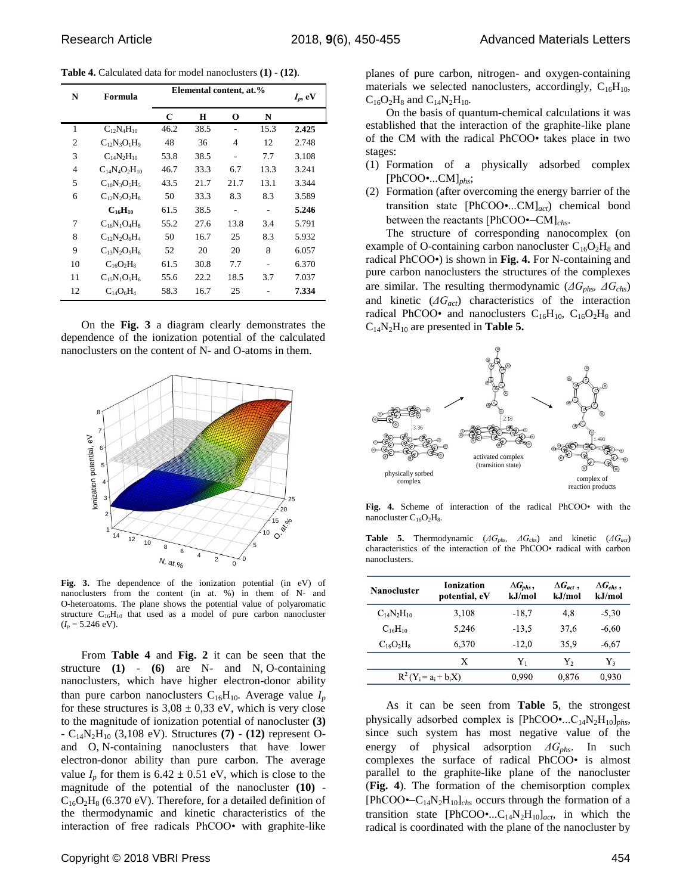**Table 4.** Calculated data for model nanoclusters **(1) - (12)**.

| N              | Formula              | Elemental content, at.% |      |      | $I_p$ , eV |       |
|----------------|----------------------|-------------------------|------|------|------------|-------|
|                |                      | C                       | H    | 0    | N          |       |
| 1              | $C_{12}N_{4}H_{10}$  | 46.2                    | 38.5 |      | 15.3       | 2.425 |
| $\overline{2}$ | $C_{12}N_3O_1H_9$    | 48                      | 36   | 4    | 12         | 2.748 |
| 3              | $C_{14}N_2H_{10}$    | 53.8                    | 38.5 | ۰    | 7.7        | 3.108 |
| 4              | $C_{14}N_4O_2H_{10}$ | 46.7                    | 33.3 | 6.7  | 13.3       | 3.241 |
| 5              | $C_{10}N_3O_5H_5$    | 43.5                    | 21.7 | 21.7 | 13.1       | 3.344 |
| 6              | $C_{12}N_2O_2H_8$    | 50                      | 33.3 | 8.3  | 8.3        | 3.589 |
|                | $C_{16}H_{10}$       | 61.5                    | 38.5 |      |            | 5.246 |
| 7              | $C_{16}N_1O_4H_8$    | 55.2                    | 27.6 | 13.8 | 3.4        | 5.791 |
| 8              | $C_{12}N_2O_6H_4$    | 50                      | 16.7 | 25   | 8.3        | 5.932 |
| 9              | $C_{13}N_2O_5H_6$    | 52                      | 20   | 20   | 8          | 6.057 |
| 10             | $C_{16}O_2H_8$       | 61.5                    | 30.8 | 7.7  |            | 6.370 |
| 11             | $C_{15}N_1O_5H_6$    | 55.6                    | 22.2 | 18.5 | 3.7        | 7.037 |
| 12             | $C_{14}O_6H_4$       | 58.3                    | 16.7 | 25   |            | 7.334 |

On the **Fig. 3** a diagram clearly demonstrates the dependence of the ionization potential of the calculated nanoclusters on the content of N- and O-atoms in them.



**Fig. 3.** The dependence of the ionization potential (in eV) of nanoclusters from the content (in at. %) in them of N- and O-heteroatoms. The plane shows the potential value of polyaromatic structure  $C_{16}H_{10}$  that used as a model of pure carbon nanocluster  $(I_p = 5.246 \text{ eV}).$ 

From **Table 4** and **Fig. 2** it can be seen that the structure **(1)** - **(6)** are N- and N, O-containing nanoclusters, which have higher electron-donor ability than pure carbon nanoclusters  $C_{16}H_{10}$ . Average value  $I_p$ for these structures is  $3.08 \pm 0.33$  eV, which is very close to the magnitude of ionization potential of nanocluster **(3)** - C14N2H<sup>10</sup> (3,108 eV). Structures **(7)** - **(12)** represent Oand O, N-containing nanoclusters that have lower electron-donor ability than pure carbon. The average value  $I_p$  for them is  $6.42 \pm 0.51$  eV, which is close to the magnitude of the potential of the nanocluster **(10)** -  $C_{16}O_2H_8$  (6.370 eV). Therefore, for a detailed definition of the thermodynamic and kinetic characteristics of the interaction of free radicals PhCOO• with graphite-like

planes of pure carbon, nitrogen- and oxygen-containing materials we selected nanoclusters, accordingly,  $C_{16}H_{10}$ ,  $C_{16}O_2H_8$  and  $C_{14}N_2H_{10}$ .

On the basis of quantum-chemical calculations it was established that the interaction of the graphite-like plane of the CM with the radical PhCOO• takes place in two stages:

- (1) Formation of a physically adsorbed complex [PhCOO•...CM]*phs*;
- (2) Formation (after overcoming the energy barrier of the transition state [PhCOO•...CM]*act*) chemical bond between the reactants [PhCOO•–CM]*chs*.

The structure of corresponding nanocomplex (on example of O-containing carbon nanocluster  $C_{16}O_2H_8$  and radical PhCOO•) is shown in **Fig. 4.** For N-containing and pure carbon nanoclusters the structures of the complexes are similar. The resulting thermodynamic (*ΔGphs, ΔGchs*) and kinetic (*ΔGact*) characteristics of the interaction radical PhCOO• and nanoclusters  $C_{16}H_{10}$ ,  $C_{16}O_2H_8$  and  $C_{14}N_2H_{10}$  are presented in **Table 5.** 



**Fig. 4.** Scheme of interaction of the radical PhCOO• with the nanocluster  $C_{16}O_2H_8$ .

**Table 5.** Thermodynamic (*ΔGphs, ΔGchs*) and kinetic (*ΔGact*) characteristics of the interaction of the PhCOO• radical with carbon nanoclusters.

| <b>Nanocluster</b>    | <b>Ionization</b><br>potential, eV | $\Delta G_{\textit{phs}}$ ,<br>k.I/mol | $\Delta G_{act}$ .<br>kJ/mol | $\Delta G_{obs}$ .<br>kJ/mol |
|-----------------------|------------------------------------|----------------------------------------|------------------------------|------------------------------|
| $C_{14}N_2H_{10}$     | 3.108                              | $-18.7$                                | 4.8                          | $-5.30$                      |
| $C_{16}H_{10}$        | 5.246                              | $-13.5$                                | 37.6                         | $-6.60$                      |
| $C_{16}O_2H_8$        | 6.370                              | $-12.0$                                | 35.9                         | $-6.67$                      |
|                       | X                                  | Y,                                     | Υ,                           | Y3                           |
| $R^2(Y = a_i + b_iX)$ |                                    | 0.990                                  | 0.876                        | 0.930                        |

As it can be seen from **Table 5**, the strongest physically adsorbed complex is [PhCOO•...C14N2H10]*phs*, since such system has most negative value of the energy of physical adsorption *ΔGphs*. In such complexes the surface of radical PhCOO• is almost parallel to the graphite-like plane of the nanocluster (**Fig. 4**). The formation of the chemisorption complex [PhCOO $\leftarrow C_{14}N_2H_{10}$ ]<sub>chs</sub> occurs through the formation of a transition state  $[PhCOO \bullet ... C_{14} N_2H_{10}]_{act}$ , in which the radical is coordinated with the plane of the nanocluster by